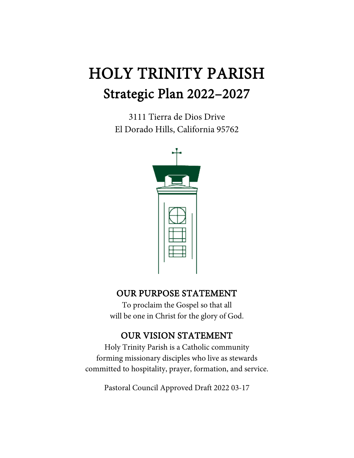# HOLY TRINITY PARISH Strategic Plan 2022–2027

3111 Tierra de Dios Drive El Dorado Hills, California 95762



# OUR PURPOSE STATEMENT

To proclaim the Gospel so that all will be one in Christ for the glory of God.

# OUR VISION STATEMENT

Holy Trinity Parish is a Catholic community forming missionary disciples who live as stewards committed to hospitality, prayer, formation, and service.

Pastoral Council Approved Draft 2022 03-17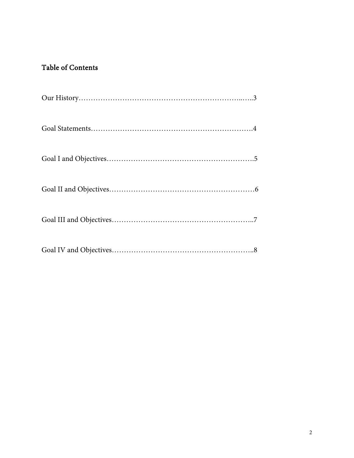# Table of Contents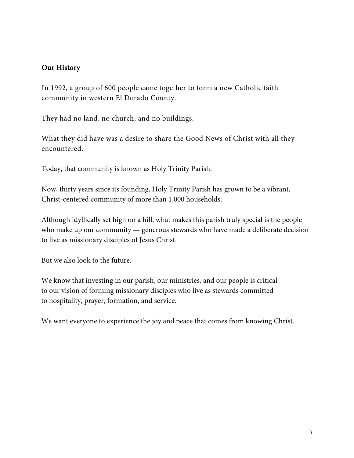## Our History

In 1992, a group of 600 people came together to form a new Catholic faith community in western El Dorado County.

They had no land, no church, and no buildings.

What they did have was a desire to share the Good News of Christ with all they encountered.

Today, that community is known as Holy Trinity Parish.

Now, thirty years since its founding, Holy Trinity Parish has grown to be a vibrant, Christ-centered community of more than 1,000 households.

Although idyllically set high on a hill, what makes this parish truly special is the people who make up our community — generous stewards who have made a deliberate decision to live as missionary disciples of Jesus Christ.

But we also look to the future.

We know that investing in our parish, our ministries, and our people is critical to our vision of forming missionary disciples who live as stewards committed to [hospitality,](https://www.holytrinityparish.org/connect) [prayer,](https://www.holytrinityparish.org/prayer) [formation,](https://www.holytrinityparish.org/formation) and [service.](https://www.holytrinityparish.org/serve)

We want everyone to experience the joy and peace that comes from [knowing](https://www.holytrinityparish.org/) Christ.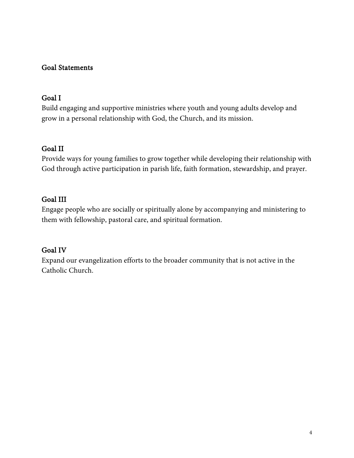# Goal Statements

#### Goal I

Build engaging and supportive ministries where youth and young adults develop and grow in a personal relationship with God, the Church, and its mission.

# Goal II

Provide ways for young families to grow together while developing their relationship with God through active participation in parish life, faith formation, stewardship, and prayer.

# Goal III

Engage people who are socially or spiritually alone by accompanying and ministering to them with fellowship, pastoral care, and spiritual formation.

#### Goal IV

Expand our evangelization efforts to the broader community that is not active in the Catholic Church.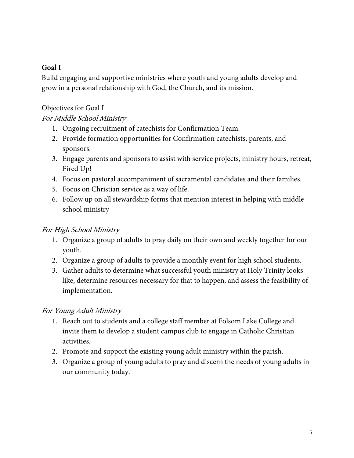# Goal I

Build engaging and supportive ministries where youth and young adults develop and grow in a personal relationship with God, the Church, and its mission.

Objectives for Goal I

# For Middle School Ministry

- 1. Ongoing recruitment of catechists for Confirmation Team.
- 2. Provide formation opportunities for Confirmation catechists, parents, and sponsors.
- 3. Engage parents and sponsors to assist with service projects, ministry hours, retreat, Fired Up!
- 4. Focus on pastoral accompaniment of sacramental candidates and their families.
- 5. Focus on Christian service as a way of life.
- 6. Follow up on all stewardship forms that mention interest in helping with middle school ministry

#### For High School Ministry

- 1. Organize a group of adults to pray daily on their own and weekly together for our youth.
- 2. Organize a group of adults to provide a monthly event for high school students.
- 3. Gather adults to determine what successful youth ministry at Holy Trinity looks like, determine resources necessary for that to happen, and assess the feasibility of implementation.

#### For Young Adult Ministry

- 1. Reach out to students and a college staff member at Folsom Lake College and invite them to develop a student campus club to engage in Catholic Christian activities.
- 2. Promote and support the existing young adult ministry within the parish.
- 3. Organize a group of young adults to pray and discern the needs of young adults in our community today.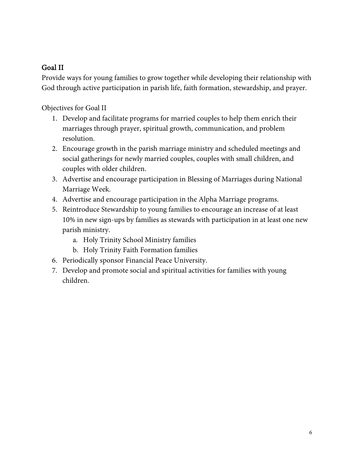# Goal II

Provide ways for young families to grow together while developing their relationship with God through active participation in parish life, faith formation, stewardship, and prayer.

Objectives for Goal II

- 1. Develop and facilitate programs for married couples to help them enrich their marriages through prayer, spiritual growth, communication, and problem resolution.
- 2. Encourage growth in the parish marriage ministry and scheduled meetings and social gatherings for newly married couples, couples with small children, and couples with older children.
- 3. Advertise and encourage participation in Blessing of Marriages during National Marriage Week.
- 4. Advertise and encourage participation in the Alpha Marriage programs.
- 5. Reintroduce Stewardship to young families to encourage an increase of at least 10% in new sign-ups by families as stewards with participation in at least one new parish ministry.
	- a. Holy Trinity School Ministry families
	- b. Holy Trinity Faith Formation families
- 6. Periodically sponsor Financial Peace University.
- 7. Develop and promote social and spiritual activities for families with young children.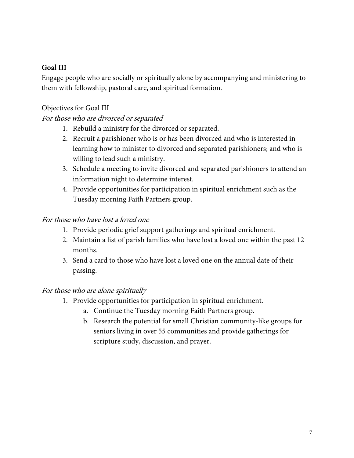## Goal III

Engage people who are socially or spiritually alone by accompanying and ministering to them with fellowship, pastoral care, and spiritual formation.

#### Objectives for Goal III

#### For those who are divorced or separated

- 1. Rebuild a ministry for the divorced or separated.
- 2. Recruit a parishioner who is or has been divorced and who is interested in learning how to minister to divorced and separated parishioners; and who is willing to lead such a ministry.
- 3. Schedule a meeting to invite divorced and separated parishioners to attend an information night to determine interest.
- 4. Provide opportunities for participation in spiritual enrichment such as the Tuesday morning Faith Partners group.

#### For those who have lost a loved one

- 1. Provide periodic grief support gatherings and spiritual enrichment.
- 2. Maintain a list of parish families who have lost a loved one within the past 12 months.
- 3. Send a card to those who have lost a loved one on the annual date of their passing.

#### For those who are alone spiritually

- 1. Provide opportunities for participation in spiritual enrichment.
	- a. Continue the Tuesday morning Faith Partners group.
	- b. Research the potential for small Christian community-like groups for seniors living in over 55 communities and provide gatherings for scripture study, discussion, and prayer.